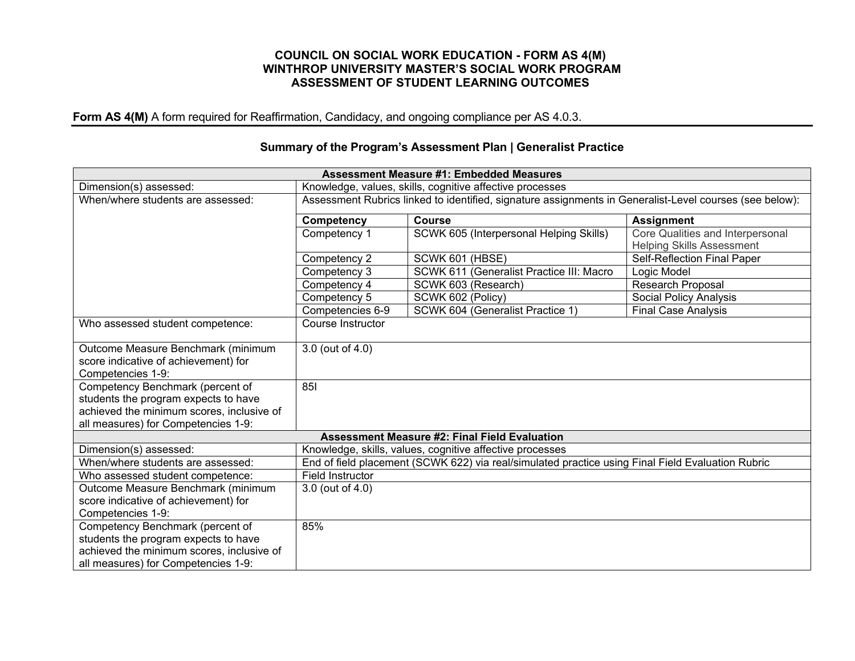#### **COUNCIL ON SOCIAL WORK EDUCATION - FORM AS 4(M) WINTHROP UNIVERSITY MASTER'S SOCIAL WORK PROGRAM ASSESSMENT OF STUDENT LEARNING OUTCOMES**

**Form AS 4(M)** A form required for Reaffirmation, Candidacy, and ongoing compliance per AS 4.0.3.

|                                                                                                                                                              |                                                                                                         | <b>Assessment Measure #1: Embedded Measures</b>          |                                                                      |  |  |
|--------------------------------------------------------------------------------------------------------------------------------------------------------------|---------------------------------------------------------------------------------------------------------|----------------------------------------------------------|----------------------------------------------------------------------|--|--|
| Dimension(s) assessed:                                                                                                                                       | Knowledge, values, skills, cognitive affective processes                                                |                                                          |                                                                      |  |  |
| When/where students are assessed:                                                                                                                            | Assessment Rubrics linked to identified, signature assignments in Generalist-Level courses (see below): |                                                          |                                                                      |  |  |
|                                                                                                                                                              | <b>Course</b><br><b>Competency</b><br><b>Assignment</b>                                                 |                                                          |                                                                      |  |  |
|                                                                                                                                                              | Competency 1                                                                                            | SCWK 605 (Interpersonal Helping Skills)                  | Core Qualities and Interpersonal<br><b>Helping Skills Assessment</b> |  |  |
|                                                                                                                                                              | Competency 2                                                                                            | SCWK 601 (HBSE)                                          | Self-Reflection Final Paper                                          |  |  |
|                                                                                                                                                              | Competency 3                                                                                            | SCWK 611 (Generalist Practice III: Macro                 | Logic Model                                                          |  |  |
|                                                                                                                                                              | Competency 4                                                                                            | SCWK 603 (Research)                                      | Research Proposal                                                    |  |  |
|                                                                                                                                                              | Competency 5                                                                                            | SCWK 602 (Policy)                                        | Social Policy Analysis                                               |  |  |
|                                                                                                                                                              | Competencies 6-9                                                                                        | SCWK 604 (Generalist Practice 1)                         | <b>Final Case Analysis</b>                                           |  |  |
| Who assessed student competence:                                                                                                                             | Course Instructor                                                                                       |                                                          |                                                                      |  |  |
| Outcome Measure Benchmark (minimum<br>score indicative of achievement) for<br>Competencies 1-9:                                                              | 3.0 (out of 4.0)                                                                                        |                                                          |                                                                      |  |  |
| Competency Benchmark (percent of<br>students the program expects to have<br>achieved the minimum scores, inclusive of<br>all measures) for Competencies 1-9: | 85                                                                                                      |                                                          |                                                                      |  |  |
| <b>Assessment Measure #2: Final Field Evaluation</b>                                                                                                         |                                                                                                         |                                                          |                                                                      |  |  |
| Dimension(s) assessed:                                                                                                                                       |                                                                                                         | Knowledge, skills, values, cognitive affective processes |                                                                      |  |  |
| When/where students are assessed:                                                                                                                            | End of field placement (SCWK 622) via real/simulated practice using Final Field Evaluation Rubric       |                                                          |                                                                      |  |  |
| Who assessed student competence:                                                                                                                             | Field Instructor                                                                                        |                                                          |                                                                      |  |  |
| Outcome Measure Benchmark (minimum                                                                                                                           | 3.0 (out of 4.0)                                                                                        |                                                          |                                                                      |  |  |
| score indicative of achievement) for                                                                                                                         |                                                                                                         |                                                          |                                                                      |  |  |
| Competencies 1-9:                                                                                                                                            |                                                                                                         |                                                          |                                                                      |  |  |
| Competency Benchmark (percent of                                                                                                                             | 85%                                                                                                     |                                                          |                                                                      |  |  |
| students the program expects to have                                                                                                                         |                                                                                                         |                                                          |                                                                      |  |  |
| achieved the minimum scores, inclusive of                                                                                                                    |                                                                                                         |                                                          |                                                                      |  |  |
| all measures) for Competencies 1-9:                                                                                                                          |                                                                                                         |                                                          |                                                                      |  |  |

## **Summary of the Program's Assessment Plan | Generalist Practice**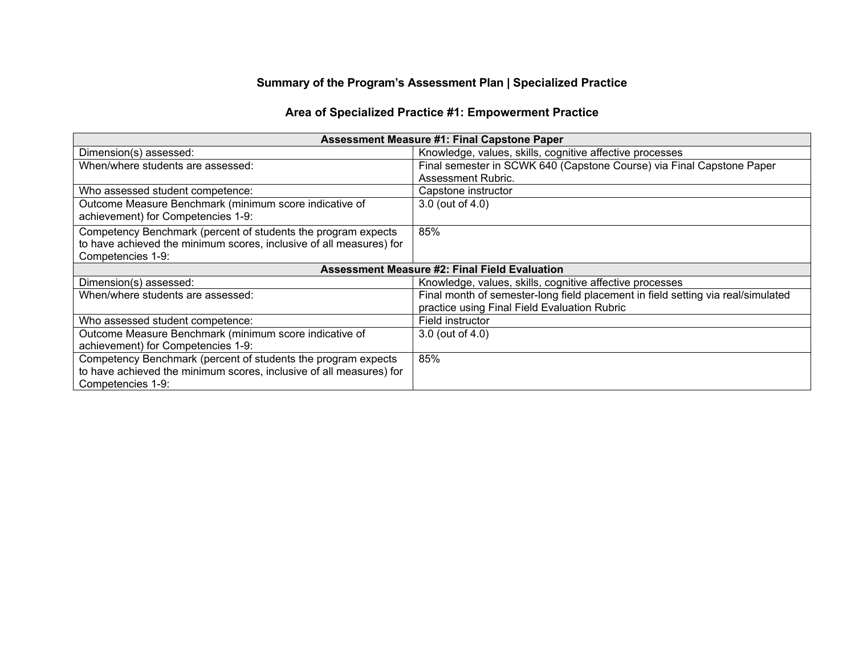# **Summary of the Program's Assessment Plan | Specialized Practice**

# **Area of Specialized Practice #1: Empowerment Practice**

| <b>Assessment Measure #1: Final Capstone Paper</b>                  |                                                                                  |  |  |
|---------------------------------------------------------------------|----------------------------------------------------------------------------------|--|--|
| Dimension(s) assessed:                                              | Knowledge, values, skills, cognitive affective processes                         |  |  |
| When/where students are assessed:                                   | Final semester in SCWK 640 (Capstone Course) via Final Capstone Paper            |  |  |
|                                                                     | <b>Assessment Rubric.</b>                                                        |  |  |
| Who assessed student competence:                                    | Capstone instructor                                                              |  |  |
| Outcome Measure Benchmark (minimum score indicative of              | 3.0 (out of 4.0)                                                                 |  |  |
| achievement) for Competencies 1-9:                                  |                                                                                  |  |  |
| Competency Benchmark (percent of students the program expects       | 85%                                                                              |  |  |
| to have achieved the minimum scores, inclusive of all measures) for |                                                                                  |  |  |
| Competencies 1-9:                                                   |                                                                                  |  |  |
| <b>Assessment Measure #2: Final Field Evaluation</b>                |                                                                                  |  |  |
| Dimension(s) assessed:                                              | Knowledge, values, skills, cognitive affective processes                         |  |  |
| When/where students are assessed:                                   | Final month of semester-long field placement in field setting via real/simulated |  |  |
|                                                                     | practice using Final Field Evaluation Rubric                                     |  |  |
| Who assessed student competence:                                    | Field instructor                                                                 |  |  |
| Outcome Measure Benchmark (minimum score indicative of              | 3.0 (out of 4.0)                                                                 |  |  |
| achievement) for Competencies 1-9:                                  |                                                                                  |  |  |
| Competency Benchmark (percent of students the program expects       | 85%                                                                              |  |  |
| to have achieved the minimum scores, inclusive of all measures) for |                                                                                  |  |  |
| Competencies 1-9:                                                   |                                                                                  |  |  |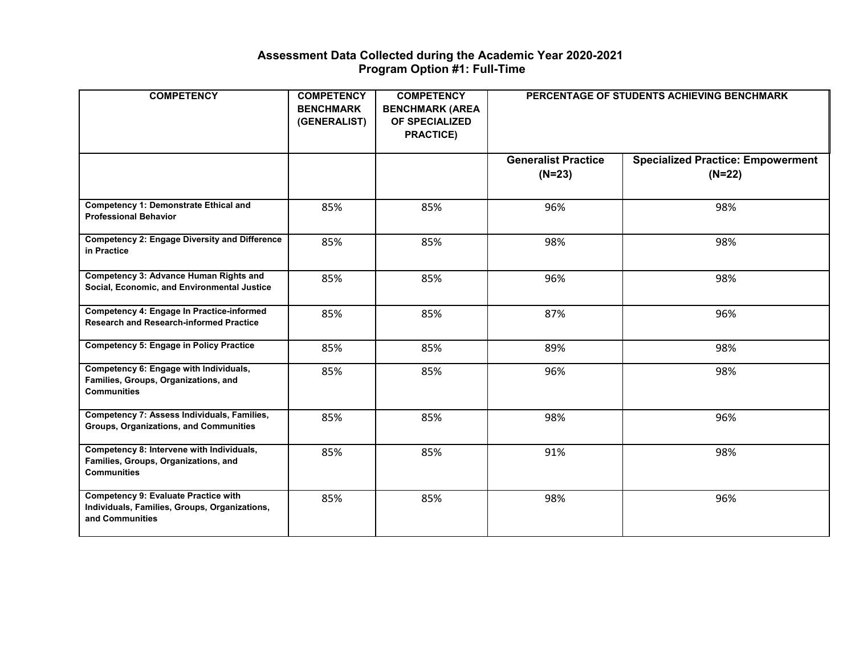#### **Assessment Data Collected during the Academic Year 2020-2021 Program Option #1: Full-Time**

| <b>COMPETENCY</b>                                                                                               | <b>COMPETENCY</b><br><b>BENCHMARK</b><br>(GENERALIST) | <b>COMPETENCY</b><br><b>BENCHMARK (AREA</b><br>OF SPECIALIZED<br><b>PRACTICE)</b> | PERCENTAGE OF STUDENTS ACHIEVING BENCHMARK |                                                      |
|-----------------------------------------------------------------------------------------------------------------|-------------------------------------------------------|-----------------------------------------------------------------------------------|--------------------------------------------|------------------------------------------------------|
|                                                                                                                 |                                                       |                                                                                   | <b>Generalist Practice</b><br>$(N=23)$     | <b>Specialized Practice: Empowerment</b><br>$(N=22)$ |
| <b>Competency 1: Demonstrate Ethical and</b><br><b>Professional Behavior</b>                                    | 85%                                                   | 85%                                                                               | 96%                                        | 98%                                                  |
| <b>Competency 2: Engage Diversity and Difference</b><br>in Practice                                             | 85%                                                   | 85%                                                                               | 98%                                        | 98%                                                  |
| <b>Competency 3: Advance Human Rights and</b><br>Social, Economic, and Environmental Justice                    | 85%                                                   | 85%                                                                               | 96%                                        | 98%                                                  |
| Competency 4: Engage In Practice-informed<br><b>Research and Research-informed Practice</b>                     | 85%                                                   | 85%                                                                               | 87%                                        | 96%                                                  |
| <b>Competency 5: Engage in Policy Practice</b>                                                                  | 85%                                                   | 85%                                                                               | 89%                                        | 98%                                                  |
| Competency 6: Engage with Individuals,<br>Families, Groups, Organizations, and<br><b>Communities</b>            | 85%                                                   | 85%                                                                               | 96%                                        | 98%                                                  |
| Competency 7: Assess Individuals, Families,<br>Groups, Organizations, and Communities                           | 85%                                                   | 85%                                                                               | 98%                                        | 96%                                                  |
| Competency 8: Intervene with Individuals,<br>Families, Groups, Organizations, and<br><b>Communities</b>         | 85%                                                   | 85%                                                                               | 91%                                        | 98%                                                  |
| <b>Competency 9: Evaluate Practice with</b><br>Individuals, Families, Groups, Organizations,<br>and Communities | 85%                                                   | 85%                                                                               | 98%                                        | 96%                                                  |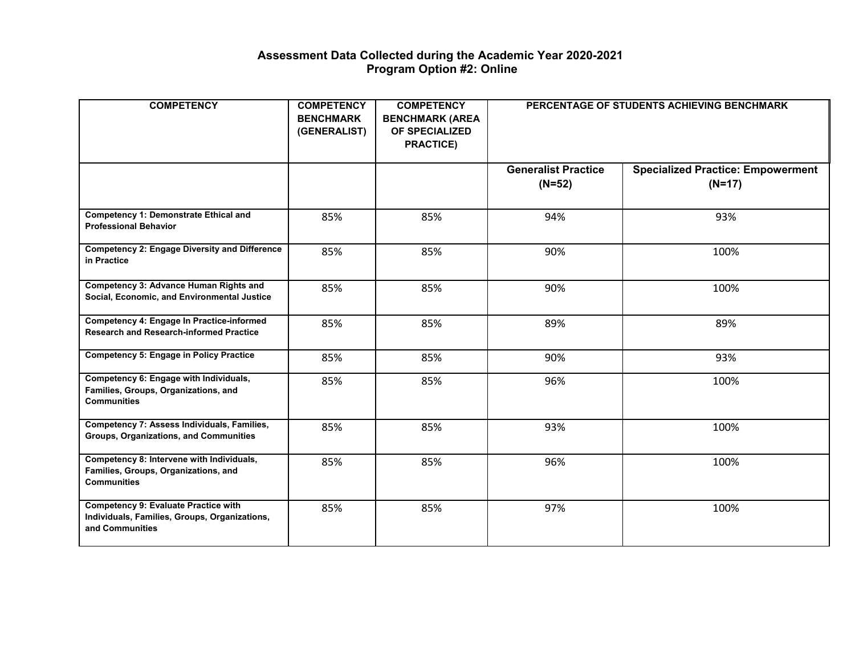#### **Assessment Data Collected during the Academic Year 2020-2021 Program Option #2: Online**

| <b>COMPETENCY</b>                                                                                               | <b>COMPETENCY</b><br><b>BENCHMARK</b><br>(GENERALIST) | <b>COMPETENCY</b><br><b>BENCHMARK (AREA</b><br><b>OF SPECIALIZED</b><br><b>PRACTICE)</b> | PERCENTAGE OF STUDENTS ACHIEVING BENCHMARK |                                                      |
|-----------------------------------------------------------------------------------------------------------------|-------------------------------------------------------|------------------------------------------------------------------------------------------|--------------------------------------------|------------------------------------------------------|
|                                                                                                                 |                                                       |                                                                                          | <b>Generalist Practice</b><br>$(N=52)$     | <b>Specialized Practice: Empowerment</b><br>$(N=17)$ |
| <b>Competency 1: Demonstrate Ethical and</b><br><b>Professional Behavior</b>                                    | 85%                                                   | 85%                                                                                      | 94%                                        | 93%                                                  |
| <b>Competency 2: Engage Diversity and Difference</b><br>in Practice                                             | 85%                                                   | 85%                                                                                      | 90%                                        | 100%                                                 |
| <b>Competency 3: Advance Human Rights and</b><br>Social, Economic, and Environmental Justice                    | 85%                                                   | 85%                                                                                      | 90%                                        | 100%                                                 |
| <b>Competency 4: Engage In Practice-informed</b><br><b>Research and Research-informed Practice</b>              | 85%                                                   | 85%                                                                                      | 89%                                        | 89%                                                  |
| <b>Competency 5: Engage in Policy Practice</b>                                                                  | 85%                                                   | 85%                                                                                      | 90%                                        | 93%                                                  |
| Competency 6: Engage with Individuals,<br>Families, Groups, Organizations, and<br><b>Communities</b>            | 85%                                                   | 85%                                                                                      | 96%                                        | 100%                                                 |
| Competency 7: Assess Individuals, Families,<br><b>Groups, Organizations, and Communities</b>                    | 85%                                                   | 85%                                                                                      | 93%                                        | 100%                                                 |
| Competency 8: Intervene with Individuals,<br>Families, Groups, Organizations, and<br><b>Communities</b>         | 85%                                                   | 85%                                                                                      | 96%                                        | 100%                                                 |
| <b>Competency 9: Evaluate Practice with</b><br>Individuals, Families, Groups, Organizations,<br>and Communities | 85%                                                   | 85%                                                                                      | 97%                                        | 100%                                                 |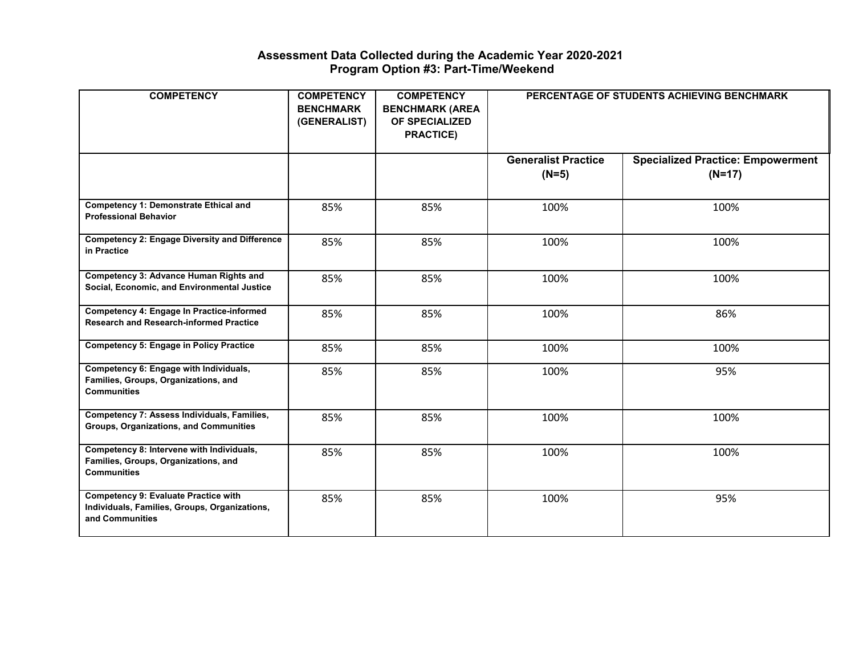#### **Assessment Data Collected during the Academic Year 2020-2021 Program Option #3: Part-Time/Weekend**

| <b>COMPETENCY</b>                                                                                               | <b>COMPETENCY</b><br><b>BENCHMARK</b><br>(GENERALIST) | <b>COMPETENCY</b><br><b>BENCHMARK (AREA</b><br>OF SPECIALIZED<br><b>PRACTICE)</b> | PERCENTAGE OF STUDENTS ACHIEVING BENCHMARK |                                                      |
|-----------------------------------------------------------------------------------------------------------------|-------------------------------------------------------|-----------------------------------------------------------------------------------|--------------------------------------------|------------------------------------------------------|
|                                                                                                                 |                                                       |                                                                                   | <b>Generalist Practice</b><br>$(N=5)$      | <b>Specialized Practice: Empowerment</b><br>$(N=17)$ |
| <b>Competency 1: Demonstrate Ethical and</b><br><b>Professional Behavior</b>                                    | 85%                                                   | 85%                                                                               | 100%                                       | 100%                                                 |
| <b>Competency 2: Engage Diversity and Difference</b><br>in Practice                                             | 85%                                                   | 85%                                                                               | 100%                                       | 100%                                                 |
| <b>Competency 3: Advance Human Rights and</b><br>Social, Economic, and Environmental Justice                    | 85%                                                   | 85%                                                                               | 100%                                       | 100%                                                 |
| <b>Competency 4: Engage In Practice-informed</b><br><b>Research and Research-informed Practice</b>              | 85%                                                   | 85%                                                                               | 100%                                       | 86%                                                  |
| <b>Competency 5: Engage in Policy Practice</b>                                                                  | 85%                                                   | 85%                                                                               | 100%                                       | 100%                                                 |
| Competency 6: Engage with Individuals,<br>Families, Groups, Organizations, and<br><b>Communities</b>            | 85%                                                   | 85%                                                                               | 100%                                       | 95%                                                  |
| Competency 7: Assess Individuals, Families,<br>Groups, Organizations, and Communities                           | 85%                                                   | 85%                                                                               | 100%                                       | 100%                                                 |
| Competency 8: Intervene with Individuals,<br>Families, Groups, Organizations, and<br><b>Communities</b>         | 85%                                                   | 85%                                                                               | 100%                                       | 100%                                                 |
| <b>Competency 9: Evaluate Practice with</b><br>Individuals, Families, Groups, Organizations,<br>and Communities | 85%                                                   | 85%                                                                               | 100%                                       | 95%                                                  |